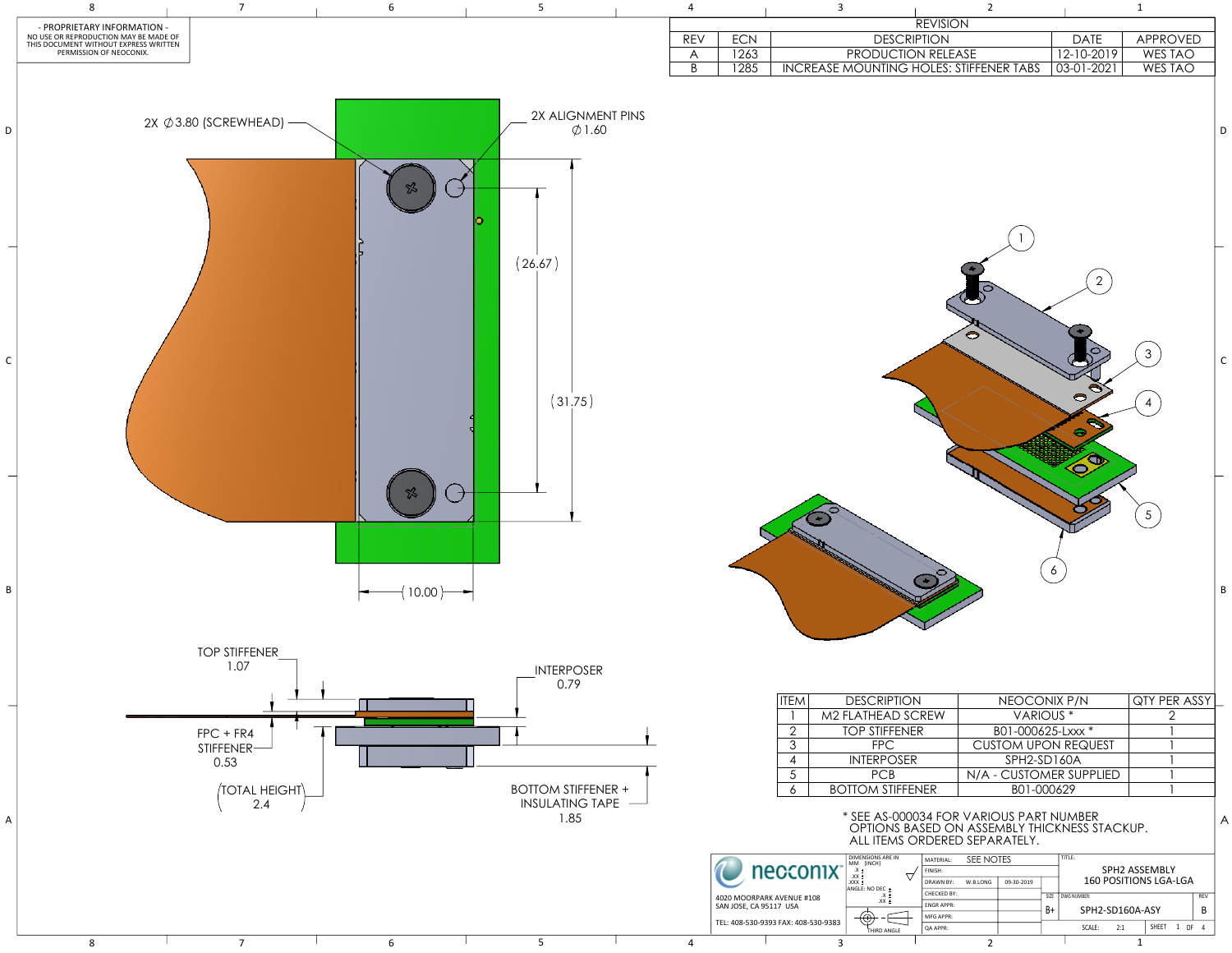|                |                                                                  |                       |                |                                                                                                                                                                                          | <b>REVISION</b><br><b>DESCRIPTION</b> |                      |                            |                         |                                              |                       |     |             |
|----------------|------------------------------------------------------------------|-----------------------|----------------|------------------------------------------------------------------------------------------------------------------------------------------------------------------------------------------|---------------------------------------|----------------------|----------------------------|-------------------------|----------------------------------------------|-----------------------|-----|-------------|
| <b>REV</b>     | <b>ECN</b>                                                       |                       |                |                                                                                                                                                                                          |                                       |                      |                            |                         | <b>DATE</b>                                  | <b>APPROVED</b>       |     |             |
| A              | 1263                                                             |                       |                | PRODUCTION RELEASE                                                                                                                                                                       |                                       |                      |                            |                         | 12-10-2019                                   | WES TAO               |     |             |
| $\overline{B}$ | 1285                                                             |                       |                | <b>INCREASE MOUNTING HOLES: STIFFENER TABS</b>                                                                                                                                           |                                       |                      |                            |                         | 03-01-2021                                   | <b>WES TAO</b>        |     |             |
|                |                                                                  |                       |                |                                                                                                                                                                                          |                                       |                      |                            |                         |                                              |                       |     | D           |
|                |                                                                  |                       |                |                                                                                                                                                                                          |                                       |                      |                            |                         |                                              |                       |     |             |
|                |                                                                  |                       |                |                                                                                                                                                                                          |                                       |                      |                            |                         | $\overline{2}$<br>Ξ<br>S<br>⊜<br>$\bigoplus$ | 3<br>$\overline{4}$   |     | $\mathsf C$ |
|                |                                                                  |                       |                |                                                                                                                                                                                          |                                       |                      |                            | 6                       |                                              | 5 <sup>5</sup>        |     | B           |
|                |                                                                  |                       |                |                                                                                                                                                                                          |                                       |                      |                            |                         |                                              |                       |     |             |
|                |                                                                  | <b>ITEM</b>           |                | <b>DESCRIPTION</b>                                                                                                                                                                       |                                       |                      | NEOCONIX P/N               |                         |                                              | QTY PER ASSY          |     |             |
|                |                                                                  | M2 FLATHEAD SCREW     |                |                                                                                                                                                                                          |                                       | VARIOUS <sup>*</sup> |                            |                         | $\overline{2}$                               |                       |     |             |
|                | $\overline{2}$<br><b>TOP STIFFENER</b><br>3<br><b>FPC</b>        |                       |                |                                                                                                                                                                                          | B01-000625-Lxxx *                     |                      |                            |                         |                                              |                       |     |             |
|                |                                                                  |                       |                |                                                                                                                                                                                          |                                       |                      | <b>CUSTOM UPON REQUEST</b> |                         |                                              |                       |     |             |
|                | <b>INTERPOSER</b><br>$\overline{\mathcal{A}}$<br>5<br><b>PCB</b> |                       |                |                                                                                                                                                                                          |                                       | SPH2-SD160A          |                            |                         |                                              |                       |     |             |
|                |                                                                  |                       |                |                                                                                                                                                                                          |                                       |                      |                            | N/A - CUSTOMER SUPPLIED |                                              |                       |     |             |
|                |                                                                  | 6                     |                | <b>BOTTOM STIFFENER</b>                                                                                                                                                                  |                                       |                      | B01-000629                 |                         |                                              |                       |     |             |
|                |                                                                  |                       |                | * SEE AS-000034 FOR VARIOUS PART NUMBER<br>OPTIONS BASED ON ASSEMBLY THICKNESS STACKUP.<br>ALL ITEMS ORDERED SEPARATELY.                                                                 |                                       |                      |                            |                         |                                              |                       |     | A           |
|                |                                                                  | necconix <sup>-</sup> |                | <b>DIMENSIONS ARE IN</b><br>MM [INCH]                                                                                                                                                    | MATERIAL:<br>FINISH:                  | SEE NOTES            |                            |                         | TITLE:                                       | SPH2 ASSEMBLY         |     |             |
|                |                                                                  |                       |                | $\frac{.X}{.XX}$<br>$\pm$ XXX.                                                                                                                                                           | DRAWN BY:                             | W.B.LONG             | 09-30-2019                 |                         |                                              | 160 POSITIONS LGA-LGA |     |             |
|                | 4020 MOORPARK AVENUE #108                                        |                       |                | ANGLE: NO DEC ±<br>$\begin{array}{c} .X \pm \\ .XX \pm \end{array}$                                                                                                                      | <b>CHECKED BY:</b>                    |                      |                            |                         | SIZE DWG NUMBER:                             |                       | REV |             |
|                | SAN JOSE, CA 95117 USA                                           |                       |                |                                                                                                                                                                                          | <b>ENGR APPR:</b>                     |                      |                            | B+                      | SPH2-SD160A-ASY                              |                       | B   |             |
|                | TEL: 408-530-9393 FAX: 408-530-9383                              |                       |                | $\bigoplus\hspace{-3.5ex}{\textstyle\bigoplus\hspace{-3.5ex}{\textstyle\bigoplus\hspace{-3.5ex}{\textstyle\bigoplus\hspace{-3.5ex}{\textstyle\bigoplus\hspace{-3.5ex}}}}$<br>THIRD ANGLE | MFG APPR:<br>QA APPR:                 |                      |                            |                         | SCALE:<br>2:1                                | SHEET 1 OF 4          |     |             |
| $\sqrt{ }$     |                                                                  |                       | $\overline{a}$ |                                                                                                                                                                                          |                                       | $\mathcal{D}$        |                            |                         |                                              | 1                     |     |             |

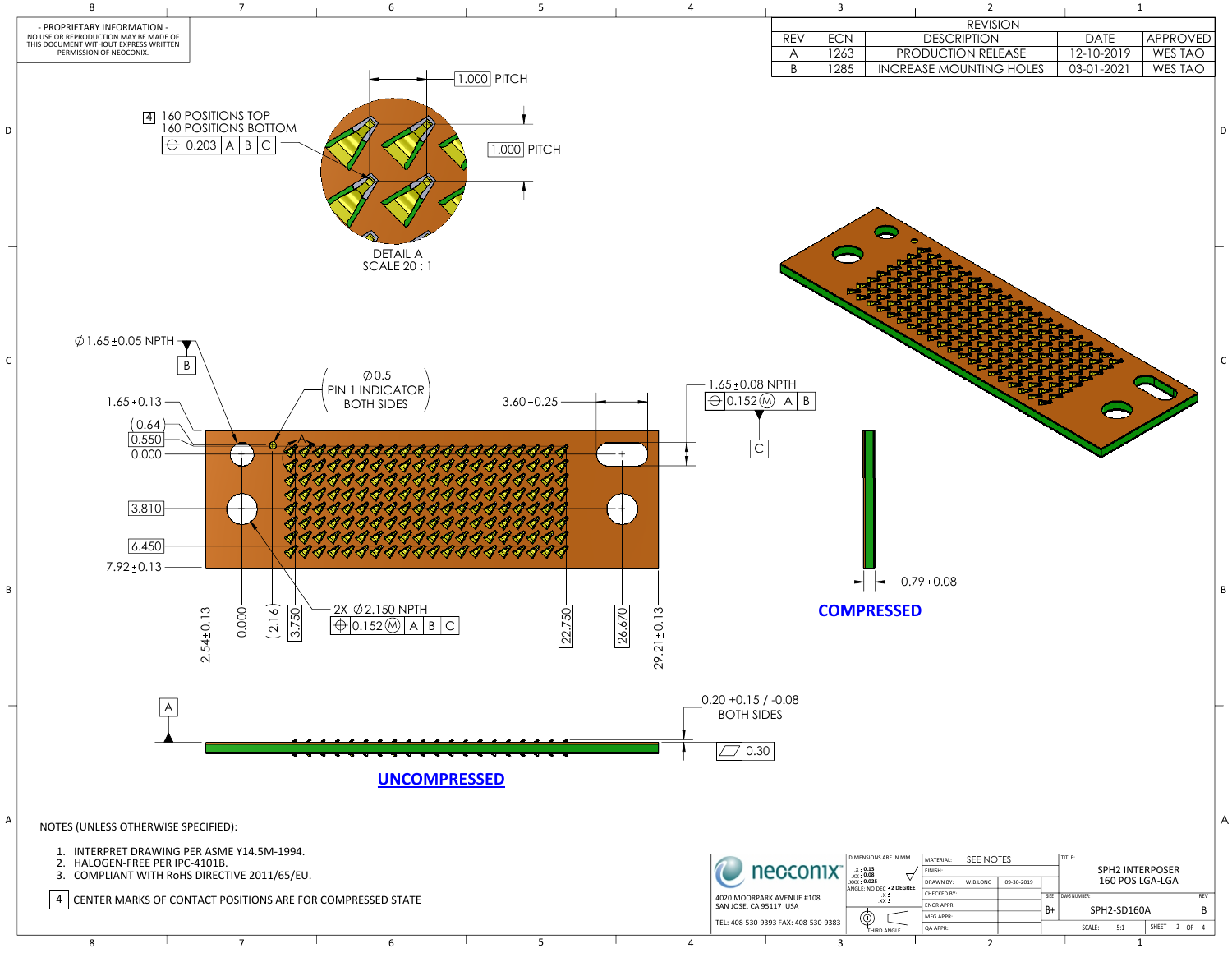|                                              | 3    | 2                              |              | 1              |
|----------------------------------------------|------|--------------------------------|--------------|----------------|
|                                              |      | <b>REVISION</b>                |              |                |
| REV                                          | ECN  | <b>DESCRIPTION</b>             | DATE         | APPROVED       |
| $\boldsymbol{\mathsf{A}}$                    | 1263 | PRODUCTION RELEASE             | 12-10-2019   | <b>WES TAO</b> |
| $\overline{B}$                               | 1285 | <b>INCREASE MOUNTING HOLES</b> | $03-01-2021$ | <b>WES TAO</b> |
|                                              |      |                                |              |                |
| TΗ<br>$\overline{\mathsf{A}}$<br>$\mathsf B$ |      |                                |              |                |



| M          | MATERIAL:          | SEE NOTES |            |      | TITLE:      |                        |                          |       |  |      |   |
|------------|--------------------|-----------|------------|------|-------------|------------------------|--------------------------|-------|--|------|---|
|            | FINISH:            |           |            |      |             | <b>SPH2 INTERPOSER</b> |                          |       |  |      |   |
| <b>REE</b> | <b>DRAWN BY:</b>   | W.B.LONG  | 09-30-2019 |      |             |                        | 160 POS LGA-LGA          |       |  |      |   |
|            | <b>CHECKED BY:</b> |           |            | SIZE |             | DWG NUMBER:            | <b>REV</b>               |       |  |      |   |
|            | <b>ENGRAPPR:</b>   |           |            | B+   | SPH2-SD160A |                        |                          |       |  |      | В |
|            | MFG APPR:          |           |            |      |             |                        |                          |       |  |      |   |
|            | <b>QA APPR:</b>    |           |            |      |             | SCALE:                 | 5:1                      | SHEET |  | 2 OF | 4 |
|            |                    | $\sim$    |            |      |             |                        | $\overline{\phantom{a}}$ |       |  |      |   |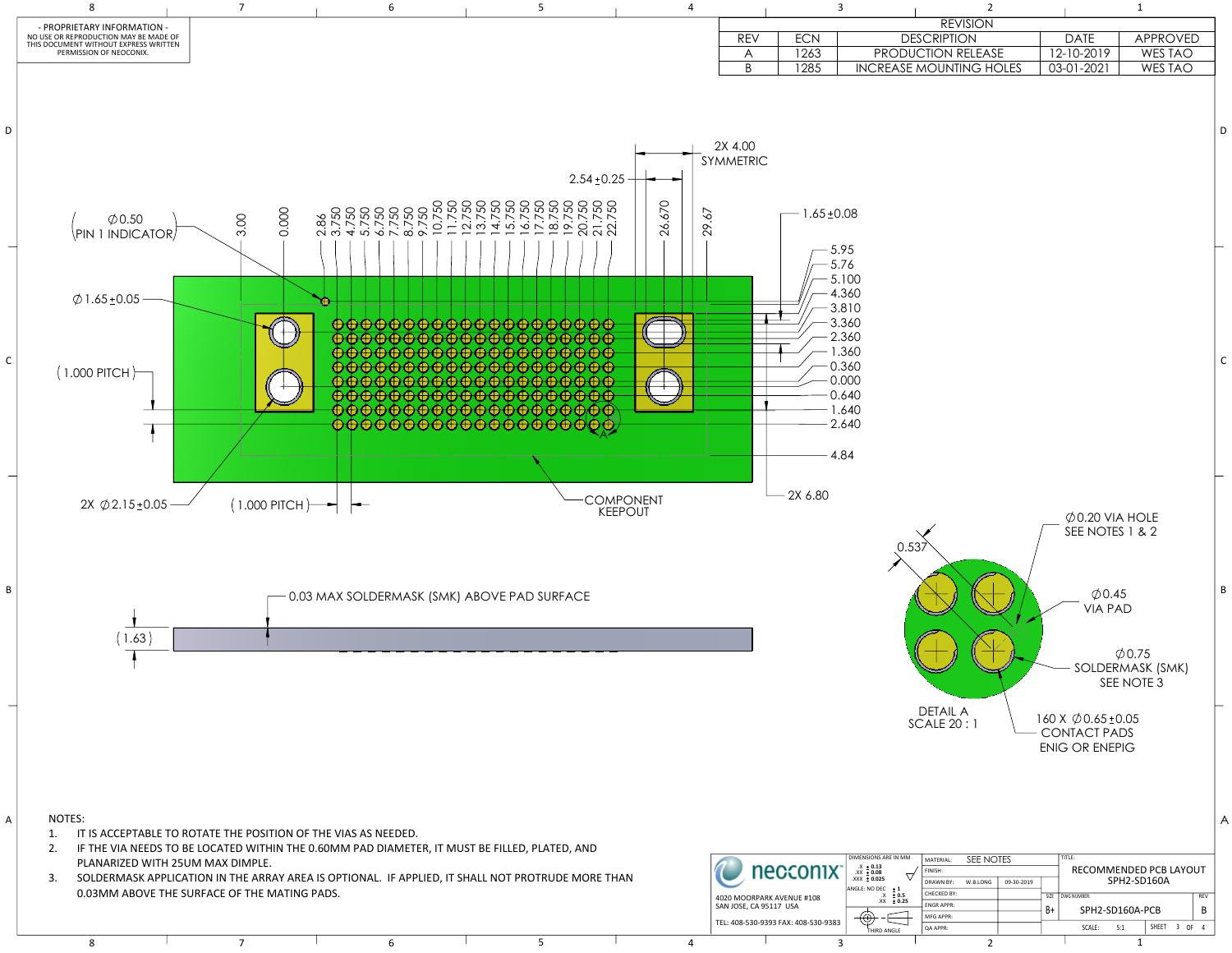|                     |                                    | $\overline{3}$                                                                                                          |                                                               | $\overline{2}$        |            |                                                                                         | $\mathbf 1$                                      |          |
|---------------------|------------------------------------|-------------------------------------------------------------------------------------------------------------------------|---------------------------------------------------------------|-----------------------|------------|-----------------------------------------------------------------------------------------|--------------------------------------------------|----------|
|                     |                                    |                                                                                                                         |                                                               | <b>REVISION</b>       |            |                                                                                         |                                                  |          |
| <b>REV</b>          | <b>ECN</b>                         |                                                                                                                         | <b>DESCRIPTION</b>                                            |                       |            | <b>DATE</b>                                                                             | APPROVED                                         |          |
| A<br>$\overline{B}$ | 1263<br>1285                       |                                                                                                                         | PRODUCTION RELEASE<br><b>INCREASE MOUNTING HOLES</b>          |                       |            | 12-10-2019<br>03-01-2021                                                                | WES TAO<br><b>WES TAO</b>                        |          |
| 00.<br><b>ETRIC</b> | $1.65 \pm 0.08$                    |                                                                                                                         |                                                               |                       |            |                                                                                         |                                                  | $\Gamma$ |
|                     |                                    | 5.95<br>5.76<br>5.100<br>4.360<br>3.810<br>3.360<br>2.360<br>1.360<br>0.360<br>0.000<br>0.640<br>1.640<br>2.640<br>4.84 |                                                               |                       |            |                                                                                         |                                                  | C        |
|                     | 2X 6.80                            |                                                                                                                         | 0.537<br><b>DETAIL A</b>                                      |                       |            | $\emptyset$ 0.20 VIA HOLE<br>SEE NOTES 1 & 2<br>$\varphi$ 0.45<br><b>VIA PAD</b>        | $\varphi$ 0.75<br>SOLDERMASK (SMK)<br>SEE NOTE 3 | E        |
|                     | necconix <sup>-</sup>              | DIMENSIONS ARE IN MM<br>$.X + 0.13$<br>$\begin{array}{r} .XX + 0.08 \\ .XXX + 0.025 \end{array}$                        | <b>SCALE 20:1</b><br>MATERIAL:<br>FINISH:<br><b>DRAWN BY:</b> | SEE NOTES<br>W.B.LONG | 09-30-2019 | 160 X $\emptyset$ 0.65 ± 0.05<br><b>CONTACT PADS</b><br><b>ENIG OR ENEPIG</b><br>TITLE: | RECOMMENDED PCB LAYOUT<br>SPH2-SD160A            | 7        |
|                     | <b><i>IOORDARK AVENUE #108</i></b> | ANGLE: NO DEC $\pm 1$<br>$.X \pm 0.5$                                                                                   | CHECKED BY:                                                   |                       |            | SIZE   DWG NUMBER:                                                                      |                                                  | REV      |



B

ENGR APPR:

B+ SCALE: 5:1 | SHEET 3 OF 4 SPH2-SD160A-PCB

MFG APPR: QA APPR: